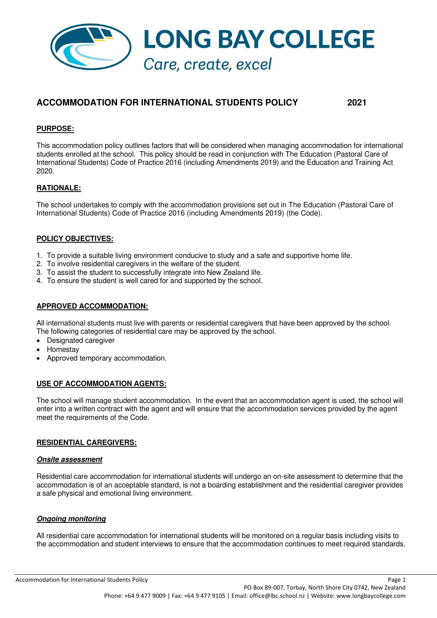

# **ACCOMMODATION FOR INTERNATIONAL STUDENTS POLICY 2021**

### **PURPOSE:**

This accommodation policy outlines factors that will be considered when managing accommodation for international students enrolled at the school. This policy should be read in conjunction with The Education (Pastoral Care of International Students) Code of Practice 2016 (including Amendments 2019) and the Education and Training Act 2020.

# **RATIONALE:**

The school undertakes to comply with the accommodation provisions set out in The Education (Pastoral Care of International Students) Code of Practice 2016 (including Amendments 2019) (the Code).

#### **POLICY OBJECTIVES:**

- 1. To provide a suitable living environment conducive to study and a safe and supportive home life.
- 2. To involve residential caregivers in the welfare of the student.
- 3. To assist the student to successfully integrate into New Zealand life.
- 4. To ensure the student is well cared for and supported by the school.

# **APPROVED ACCOMMODATION:**

All international students must live with parents or residential caregivers that have been approved by the school. The following categories of residential care may be approved by the school.

- Designated caregiver
- **Homestay**
- Approved temporary accommodation.

#### **USE OF ACCOMMODATION AGENTS:**

The school will manage student accommodation. In the event that an accommodation agent is used, the school will enter into a written contract with the agent and will ensure that the accommodation services provided by the agent meet the requirements of the Code.

#### **RESIDENTIAL CAREGIVERS:**

#### **Onsite assessment**

Residential care accommodation for international students will undergo an on-site assessment to determine that the accommodation is of an acceptable standard, is not a boarding establishment and the residential caregiver provides a safe physical and emotional living environment.

#### **Ongoing monitoring**

All residential care accommodation for international students will be monitored on a regular basis including visits to the accommodation and student interviews to ensure that the accommodation continues to meet required standards.